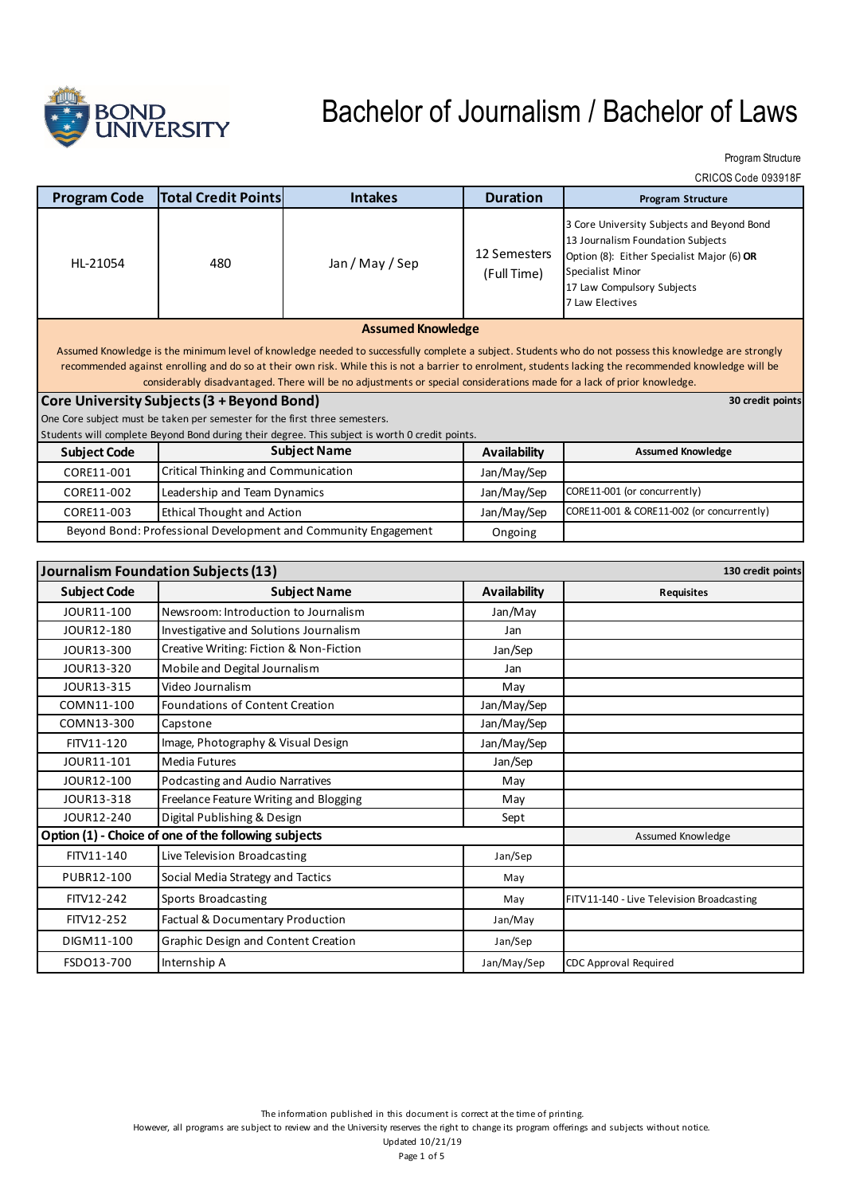

Program Structure

CRICOS Code 093918F

| <b>Program Code</b>                                                                                                                                                                                                                                                                                                                                                                                                                                                                                                                                                                                                                                                                           | <b>Total Credit Points</b>                 | <b>Intakes</b>      | <b>Duration</b>             | <b>Program Structure</b>                                                                                                                                                                           |  |
|-----------------------------------------------------------------------------------------------------------------------------------------------------------------------------------------------------------------------------------------------------------------------------------------------------------------------------------------------------------------------------------------------------------------------------------------------------------------------------------------------------------------------------------------------------------------------------------------------------------------------------------------------------------------------------------------------|--------------------------------------------|---------------------|-----------------------------|----------------------------------------------------------------------------------------------------------------------------------------------------------------------------------------------------|--|
| HL-21054                                                                                                                                                                                                                                                                                                                                                                                                                                                                                                                                                                                                                                                                                      | 480                                        | Jan / May / Sep     | 12 Semesters<br>(Full Time) | 3 Core University Subjects and Beyond Bond<br>13 Journalism Foundation Subjects<br>Option (8): Either Specialist Major (6) OR<br>Specialist Minor<br>17 Law Compulsory Subjects<br>7 Law Electives |  |
|                                                                                                                                                                                                                                                                                                                                                                                                                                                                                                                                                                                                                                                                                               | <b>Assumed Knowledge</b>                   |                     |                             |                                                                                                                                                                                                    |  |
| Assumed Knowledge is the minimum level of knowledge needed to successfully complete a subject. Students who do not possess this knowledge are strongly<br>recommended against enrolling and do so at their own risk. While this is not a barrier to enrolment, students lacking the recommended knowledge will be<br>considerably disadvantaged. There will be no adjustments or special considerations made for a lack of prior knowledge.<br>Core University Subjects (3 + Beyond Bond)<br>30 credit points<br>One Core subject must be taken per semester for the first three semesters.<br>Students will complete Beyond Bond during their degree. This subject is worth 0 credit points. |                                            |                     |                             |                                                                                                                                                                                                    |  |
| <b>Subject Code</b>                                                                                                                                                                                                                                                                                                                                                                                                                                                                                                                                                                                                                                                                           | <b>Subject Name</b>                        |                     | <b>Availability</b>         | <b>Assumed Knowledge</b>                                                                                                                                                                           |  |
| CORE11-001                                                                                                                                                                                                                                                                                                                                                                                                                                                                                                                                                                                                                                                                                    | <b>Critical Thinking and Communication</b> |                     | Jan/May/Sep                 |                                                                                                                                                                                                    |  |
| CORE11-002                                                                                                                                                                                                                                                                                                                                                                                                                                                                                                                                                                                                                                                                                    | Leadership and Team Dynamics               |                     | Jan/May/Sep                 | CORE11-001 (or concurrently)                                                                                                                                                                       |  |
| CORE11-003                                                                                                                                                                                                                                                                                                                                                                                                                                                                                                                                                                                                                                                                                    | <b>Ethical Thought and Action</b>          |                     | Jan/May/Sep                 | CORE11-001 & CORE11-002 (or concurrently)                                                                                                                                                          |  |
| Beyond Bond: Professional Development and Community Engagement                                                                                                                                                                                                                                                                                                                                                                                                                                                                                                                                                                                                                                |                                            |                     | Ongoing                     |                                                                                                                                                                                                    |  |
|                                                                                                                                                                                                                                                                                                                                                                                                                                                                                                                                                                                                                                                                                               |                                            |                     |                             |                                                                                                                                                                                                    |  |
| Journalism Foundation Subjects (13)<br>130 credit points                                                                                                                                                                                                                                                                                                                                                                                                                                                                                                                                                                                                                                      |                                            |                     |                             |                                                                                                                                                                                                    |  |
| <b>Subject Code</b>                                                                                                                                                                                                                                                                                                                                                                                                                                                                                                                                                                                                                                                                           |                                            | <b>Subject Name</b> | <b>Availability</b>         | <b>Requisites</b>                                                                                                                                                                                  |  |
| JOUR11-100                                                                                                                                                                                                                                                                                                                                                                                                                                                                                                                                                                                                                                                                                    | Newsroom: Introduction to Journalism       |                     | Jan/May                     |                                                                                                                                                                                                    |  |

| JOUR11-100                                           | Newsroom: Introduction to Journalism    | Jan/May     |                                           |
|------------------------------------------------------|-----------------------------------------|-------------|-------------------------------------------|
| JOUR12-180                                           | Investigative and Solutions Journalism  | Jan         |                                           |
| JOUR13-300                                           | Creative Writing: Fiction & Non-Fiction | Jan/Sep     |                                           |
| JOUR13-320                                           | Mobile and Degital Journalism           | Jan         |                                           |
| JOUR13-315                                           | Video Journalism                        | May         |                                           |
| COMN11-100                                           | Foundations of Content Creation         | Jan/May/Sep |                                           |
| COMN13-300                                           | Capstone                                | Jan/May/Sep |                                           |
| FITV11-120                                           | Image, Photography & Visual Design      | Jan/May/Sep |                                           |
| JOUR11-101                                           | <b>Media Futures</b>                    | Jan/Sep     |                                           |
| JOUR12-100                                           | Podcasting and Audio Narratives         | May         |                                           |
| JOUR13-318                                           | Freelance Feature Writing and Blogging  | May         |                                           |
| JOUR12-240                                           | Digital Publishing & Design             | Sept        |                                           |
| Option (1) - Choice of one of the following subjects |                                         |             | Assumed Knowledge                         |
| FITV11-140                                           | Live Television Broadcasting            | Jan/Sep     |                                           |
| PUBR12-100                                           | Social Media Strategy and Tactics       | May         |                                           |
| FITV12-242                                           | Sports Broadcasting                     | May         | FITV11-140 - Live Television Broadcasting |
| FITV12-252                                           | Factual & Documentary Production        | Jan/May     |                                           |
| DIGM11-100                                           | Graphic Design and Content Creation     | Jan/Sep     |                                           |
| FSD013-700                                           | Internship A                            | Jan/May/Sep | <b>CDC Approval Required</b>              |
|                                                      |                                         |             |                                           |

However, all programs are subject to review and the University reserves the right to change its program offerings and subjects without notice.

Updated 10/21/19 Page 1 of 5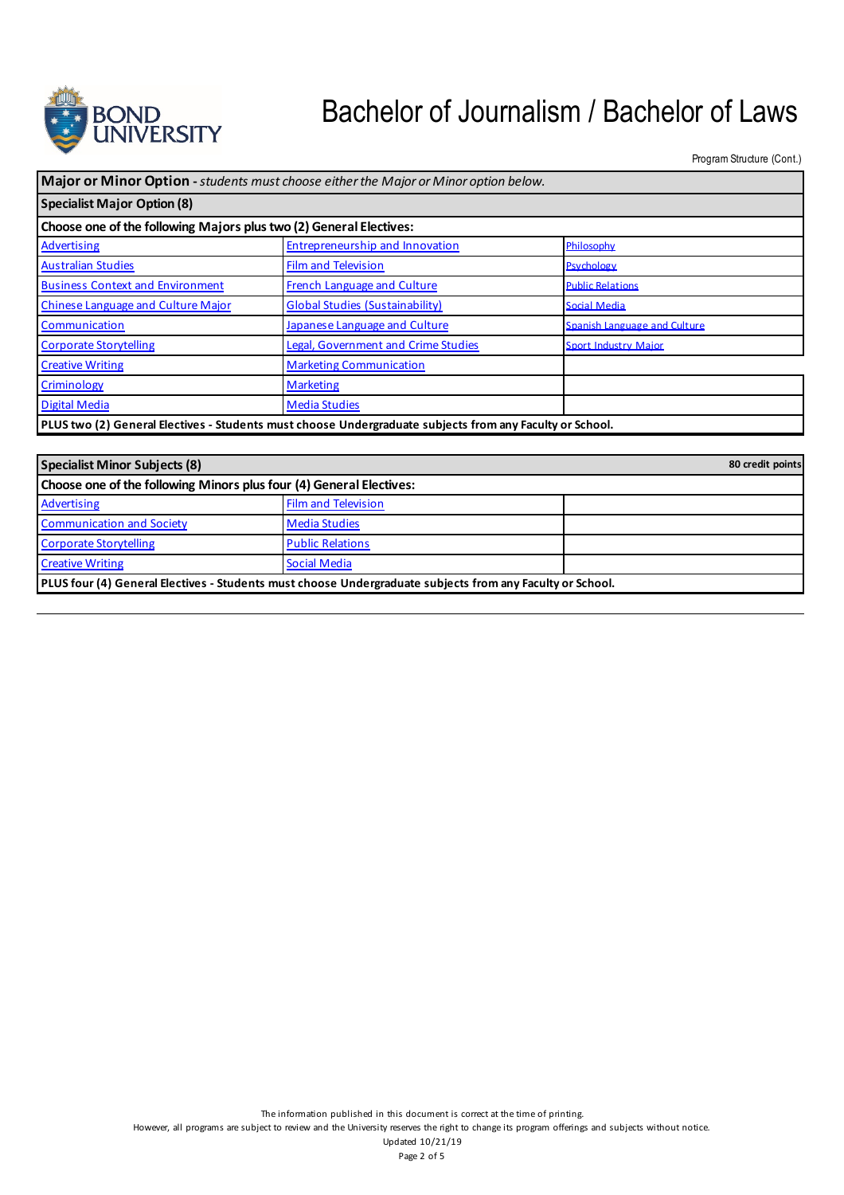

Program Structure (Cont.)

| Major or Minor Option - students must choose either the Major or Minor option below.                     |                                            |                              |  |
|----------------------------------------------------------------------------------------------------------|--------------------------------------------|------------------------------|--|
| <b>Specialist Major Option (8)</b>                                                                       |                                            |                              |  |
| Choose one of the following Majors plus two (2) General Electives:                                       |                                            |                              |  |
| Advertising                                                                                              | Entrepreneurship and Innovation            | Philosophy                   |  |
| <b>Australian Studies</b>                                                                                | <b>Film and Television</b>                 | Psychology                   |  |
| <b>Business Context and Environment</b>                                                                  | French Language and Culture                | <b>Public Relations</b>      |  |
| <b>Chinese Language and Culture Major</b>                                                                | <b>Global Studies (Sustainability)</b>     | <b>Social Media</b>          |  |
| Communication                                                                                            | Japanese Language and Culture              | Spanish Language and Culture |  |
| <b>Corporate Storytelling</b>                                                                            | <b>Legal, Government and Crime Studies</b> | <b>Sport Industry Major</b>  |  |
| <b>Creative Writing</b>                                                                                  | <b>Marketing Communication</b>             |                              |  |
| Criminology                                                                                              | <b>Marketing</b>                           |                              |  |
| <b>Digital Media</b>                                                                                     | <b>Media Studies</b>                       |                              |  |
| PLUS two (2) General Electives - Students must choose Undergraduate subjects from any Faculty or School. |                                            |                              |  |

| <b>Specialist Minor Subjects (8)</b>                                                                      |                            |  |  |
|-----------------------------------------------------------------------------------------------------------|----------------------------|--|--|
| Choose one of the following Minors plus four (4) General Electives:                                       |                            |  |  |
| Advertising                                                                                               | <b>Film and Television</b> |  |  |
| <b>Communication and Society</b>                                                                          | <b>Media Studies</b>       |  |  |
| <b>Corporate Storytelling</b>                                                                             | <b>Public Relations</b>    |  |  |
| <b>Creative Writing</b>                                                                                   | <b>Social Media</b>        |  |  |
| PLUS four (4) General Electives - Students must choose Undergraduate subjects from any Faculty or School. |                            |  |  |

The information published in this document is correct at the time of printing.

However, all programs are subject to review and the University reserves the right to change its program offerings and subjects without notice.

Updated 10/21/19 Page 2 of 5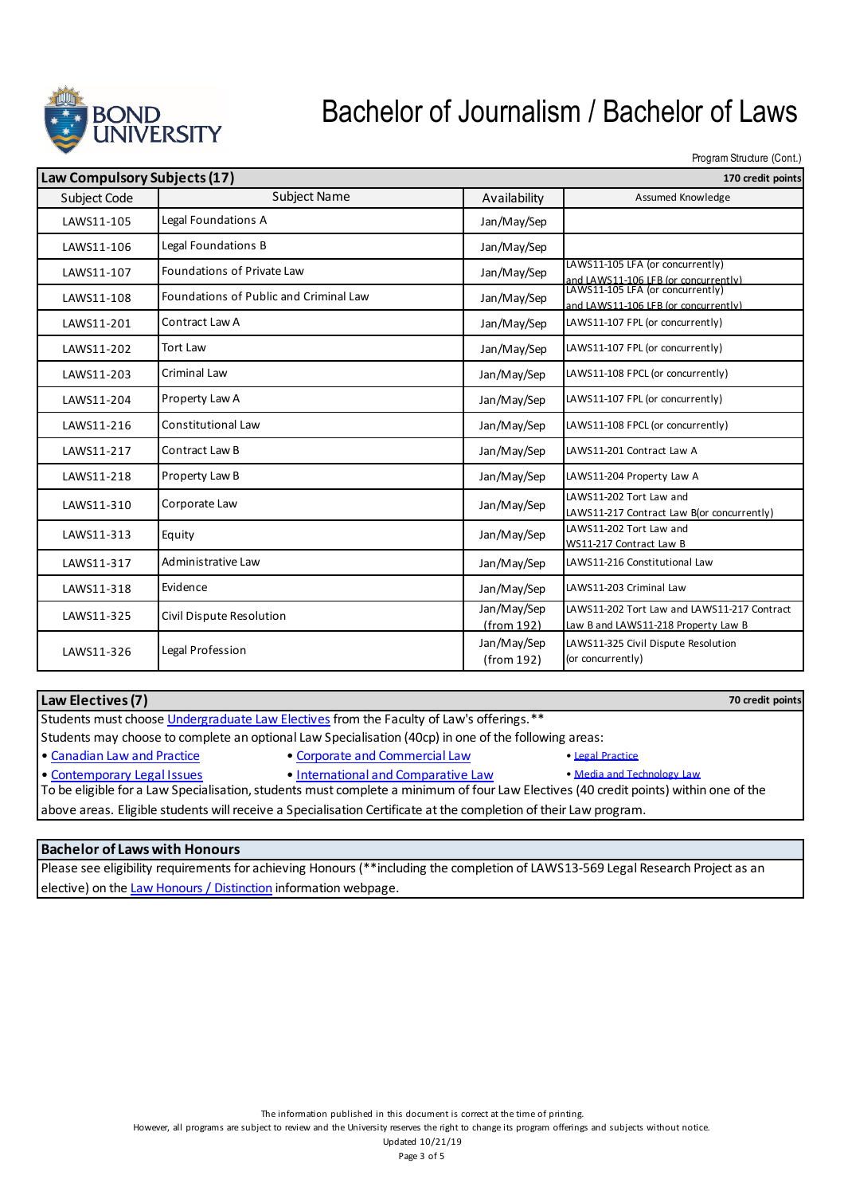

Program Structure (Cont.)

| Law Compulsory Subjects (17) |                                        | 170 credit points         |                                                                                                                  |
|------------------------------|----------------------------------------|---------------------------|------------------------------------------------------------------------------------------------------------------|
| Subject Code                 | <b>Subject Name</b>                    | Availability              | Assumed Knowledge                                                                                                |
| LAWS11-105                   | Legal Foundations A                    | Jan/May/Sep               |                                                                                                                  |
| LAWS11-106                   | Legal Foundations B                    | Jan/May/Sep               |                                                                                                                  |
| LAWS11-107                   | Foundations of Private Law             | Jan/May/Sep               | LAWS11-105 LFA (or concurrently)                                                                                 |
| LAWS11-108                   | Foundations of Public and Criminal Law | Jan/May/Sep               | and LAWS11-106 LFB (or concurrently)<br>LAWS11-105 LFA (or concurrently)<br>and LAWS11-106 LFB (or concurrently) |
| LAWS11-201                   | Contract Law A                         | Jan/May/Sep               | LAWS11-107 FPL (or concurrently)                                                                                 |
| LAWS11-202                   | <b>Tort Law</b>                        | Jan/May/Sep               | LAWS11-107 FPL (or concurrently)                                                                                 |
| LAWS11-203                   | Criminal Law                           | Jan/May/Sep               | LAWS11-108 FPCL (or concurrently)                                                                                |
| LAWS11-204                   | Property Law A                         | Jan/May/Sep               | LAWS11-107 FPL (or concurrently)                                                                                 |
| LAWS11-216                   | <b>Constitutional Law</b>              | Jan/May/Sep               | LAWS11-108 FPCL (or concurrently)                                                                                |
| LAWS11-217                   | Contract Law B                         | Jan/May/Sep               | LAWS11-201 Contract Law A                                                                                        |
| LAWS11-218                   | Property Law B                         | Jan/May/Sep               | LAWS11-204 Property Law A                                                                                        |
| LAWS11-310                   | Corporate Law                          | Jan/May/Sep               | LAWS11-202 Tort Law and<br>LAWS11-217 Contract Law B(or concurrently)                                            |
| LAWS11-313                   | Equity                                 | Jan/May/Sep               | LAWS11-202 Tort Law and<br>WS11-217 Contract Law B                                                               |
| LAWS11-317                   | Administrative Law                     | Jan/May/Sep               | LAWS11-216 Constitutional Law                                                                                    |
| LAWS11-318                   | Evidence                               | Jan/May/Sep               | LAWS11-203 Criminal Law                                                                                          |
| LAWS11-325                   | Civil Dispute Resolution               | Jan/May/Sep<br>(from 192) | LAWS11-202 Tort Law and LAWS11-217 Contract<br>Law B and LAWS11-218 Property Law B                               |
| LAWS11-326                   | Legal Profession                       | Jan/May/Sep<br>(from 192) | LAWS11-325 Civil Dispute Resolution<br>(or concurrently)                                                         |

| Law Electives (7)                                                                                                                    |                                     | 70 credit points           |  |  |
|--------------------------------------------------------------------------------------------------------------------------------------|-------------------------------------|----------------------------|--|--|
| Students must choose Undergraduate Law Electives from the Faculty of Law's offerings.**                                              |                                     |                            |  |  |
| Students may choose to complete an optional Law Specialisation (40cp) in one of the following areas:                                 |                                     |                            |  |  |
| • Canadian Law and Practice                                                                                                          | • Corporate and Commercial Law      | • Legal Practice           |  |  |
| • Contemporary Legal Issues                                                                                                          | . International and Comparative Law | . Media and Technology Law |  |  |
| To be eligible for a Law Specialisation, students must complete a minimum of four Law Electives (40 credit points) within one of the |                                     |                            |  |  |
| laban a coma a Fitatula concelenza nell'america e Caractella della Casolita della cassa della contra la componenza                   |                                     |                            |  |  |

above areas. Eligible students will receive a Specialisation Certificate at the completion of their Law program.

#### **Bachelor of Laws with Honours**

Please see eligibility requirements for achieving Honours (\*\*including the completion of LAWS13-569 Legal Research Project as an elective) on the Law Honours / Distinction information webpage.

However, all programs are subject to review and the University reserves the right to change its program offerings and subjects without notice.

Updated 10/21/19 Page 3 of 5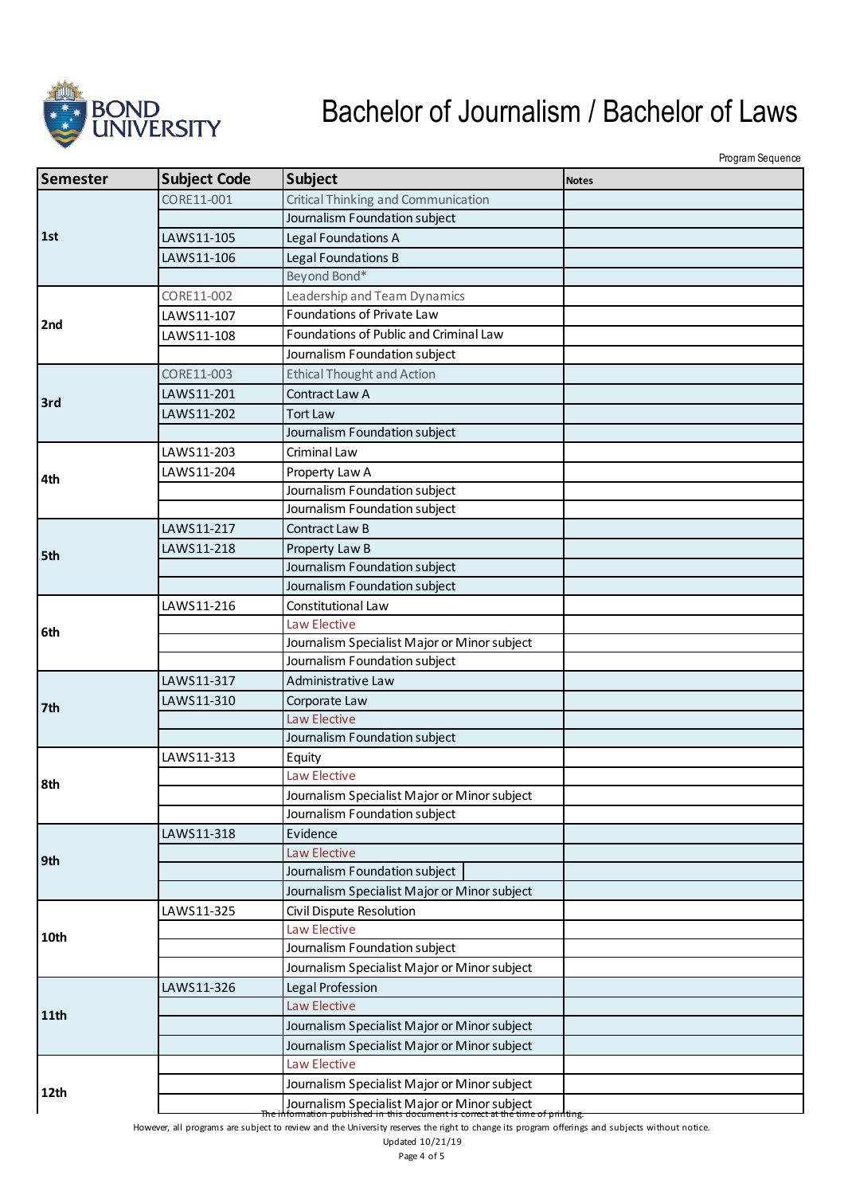

Program Sequence

| Semester | <b>Subject Code</b> | <b>Subject</b>                                                                                                                         | <b>Notes</b> |
|----------|---------------------|----------------------------------------------------------------------------------------------------------------------------------------|--------------|
|          | CORE11-001          | Critical Thinking and Communication                                                                                                    |              |
| 1st      |                     | Journalism Foundation subject                                                                                                          |              |
|          | LAWS11-105          | Legal Foundations A                                                                                                                    |              |
|          | LAWS11-106          | Legal Foundations B                                                                                                                    |              |
|          |                     | Beyond Bond*                                                                                                                           |              |
|          | CORE11-002          | Leadership and Team Dynamics                                                                                                           |              |
| 2nd      | LAWS11-107          | Foundations of Private Law                                                                                                             |              |
|          | LAWS11-108          | Foundations of Public and Criminal Law                                                                                                 |              |
|          |                     | Journalism Foundation subject                                                                                                          |              |
|          | CORE11-003          | <b>Ethical Thought and Action</b>                                                                                                      |              |
| 3rd      | LAWS11-201          | Contract Law A                                                                                                                         |              |
|          | LAWS11-202          | <b>Tort Law</b>                                                                                                                        |              |
|          |                     | Journalism Foundation subject                                                                                                          |              |
|          | LAWS11-203          | Criminal Law                                                                                                                           |              |
| 4th      | LAWS11-204          | Property Law A                                                                                                                         |              |
|          |                     | Journalism Foundation subject                                                                                                          |              |
|          |                     | Journalism Foundation subject                                                                                                          |              |
|          | LAWS11-217          | Contract Law B                                                                                                                         |              |
| 5th      | LAWS11-218          | Property Law B                                                                                                                         |              |
|          |                     | Journalism Foundation subject                                                                                                          |              |
|          |                     | Journalism Foundation subject                                                                                                          |              |
|          | LAWS11-216          | Constitutional Law                                                                                                                     |              |
| 6th      |                     | Law Elective                                                                                                                           |              |
|          |                     | Journalism Specialist Major or Minor subject                                                                                           |              |
|          |                     | Journalism Foundation subject                                                                                                          |              |
|          | LAWS11-317          | Administrative Law                                                                                                                     |              |
| 7th      | LAWS11-310          | Corporate Law                                                                                                                          |              |
|          |                     | Law Elective                                                                                                                           |              |
|          |                     | Journalism Foundation subject                                                                                                          |              |
|          | LAWS11-313          | Equity<br>Law Elective                                                                                                                 |              |
| 8th      |                     |                                                                                                                                        |              |
|          |                     | Journalism Specialist Major or Minor subject<br>Journalism Foundation subject                                                          |              |
|          | LAWS11-318          | Evidence                                                                                                                               |              |
|          |                     | Law Elective                                                                                                                           |              |
| 9th      |                     | Journalism Foundation subject                                                                                                          |              |
|          |                     | Journalism Specialist Major or Minor subject                                                                                           |              |
|          | LAWS11-325          | Civil Dispute Resolution                                                                                                               |              |
|          |                     | Law Elective                                                                                                                           |              |
| 10th     |                     | Journalism Foundation subject                                                                                                          |              |
|          |                     | Journalism Specialist Major or Minor subject                                                                                           |              |
|          | LAWS11-326          | Legal Profession                                                                                                                       |              |
|          |                     | Law Elective                                                                                                                           |              |
| 11th     |                     | Journalism Specialist Major or Minor subject                                                                                           |              |
|          |                     | Journalism Specialist Major or Minor subject                                                                                           |              |
|          |                     | Law Elective                                                                                                                           |              |
|          |                     | Journalism Specialist Major or Minor subject                                                                                           |              |
| 12th     |                     |                                                                                                                                        |              |
|          | men                 | Journalism Specialist Major or Minor subject<br>formation published in this document is conect at the time<br><del>ie of prinung</del> |              |

However, all programs are subject to review and the University reserves the right to change its program offerings and subjects without notice.

Updated 10/21/19